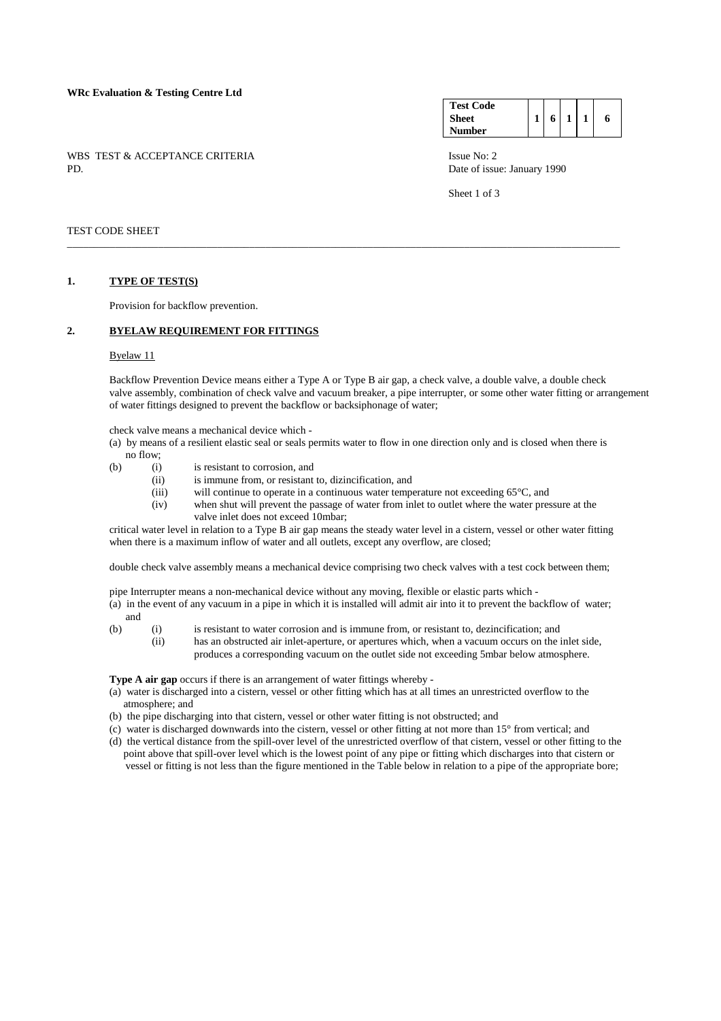### **WRc Evaluation & Testing Centre Ltd**

WBS TEST & ACCEPTANCE CRITERIA ISSUE No: 2<br>PD Date of issue

| <b>Test Code</b> |   |  |   |
|------------------|---|--|---|
| <b>Sheet</b>     | 6 |  | 6 |
| Number           |   |  |   |

Date of issue: January 1990

Sheet 1 of 3

### TEST CODE SHEET

#### **1. TYPE OF TEST(S)**

Provision for backflow prevention.

# **2. BYELAW REQUIREMENT FOR FITTINGS**

#### Byelaw 11

 Backflow Prevention Device means either a Type A or Type B air gap, a check valve, a double valve, a double check valve assembly, combination of check valve and vacuum breaker, a pipe interrupter, or some other water fitting or arrangement of water fittings designed to prevent the backflow or backsiphonage of water;

check valve means a mechanical device which -

 (a) by means of a resilient elastic seal or seals permits water to flow in one direction only and is closed when there is no flow;

\_\_\_\_\_\_\_\_\_\_\_\_\_\_\_\_\_\_\_\_\_\_\_\_\_\_\_\_\_\_\_\_\_\_\_\_\_\_\_\_\_\_\_\_\_\_\_\_\_\_\_\_\_\_\_\_\_\_\_\_\_\_\_\_\_\_\_\_\_\_\_\_\_\_\_\_\_\_\_\_\_\_\_\_\_\_\_\_\_\_\_\_\_\_\_\_\_\_\_\_\_\_\_

- (b) (i) is resistant to corrosion, and
	- (ii) is immune from, or resistant to, dizincification, and
	- (iii) will continue to operate in a continuous water temperature not exceeding 65°C, and
	- (iv) when shut will prevent the passage of water from inlet to outlet where the water pressure at the valve inlet does not exceed 10mbar;

 critical water level in relation to a Type B air gap means the steady water level in a cistern, vessel or other water fitting when there is a maximum inflow of water and all outlets, except any overflow, are closed;

double check valve assembly means a mechanical device comprising two check valves with a test cock between them;

 pipe Interrupter means a non-mechanical device without any moving, flexible or elastic parts which - (a) in the event of any vacuum in a pipe in which it is installed will admit air into it to prevent the backflow of water; and

 (b) (i) is resistant to water corrosion and is immune from, or resistant to, dezincification; and (ii) has an obstructed air inlet-aperture, or apertures which, when a vacuum occurs on the inlet side, produces a corresponding vacuum on the outlet side not exceeding 5mbar below atmosphere.

**Type A air gap** occurs if there is an arrangement of water fittings whereby -

- (a) water is discharged into a cistern, vessel or other fitting which has at all times an unrestricted overflow to the atmosphere; and
- (b) the pipe discharging into that cistern, vessel or other water fitting is not obstructed; and
- (c) water is discharged downwards into the cistern, vessel or other fitting at not more than 15° from vertical; and
- (d) the vertical distance from the spill-over level of the unrestricted overflow of that cistern, vessel or other fitting to the point above that spill-over level which is the lowest point of any pipe or fitting which discharges into that cistern or vessel or fitting is not less than the figure mentioned in the Table below in relation to a pipe of the appropriate bore;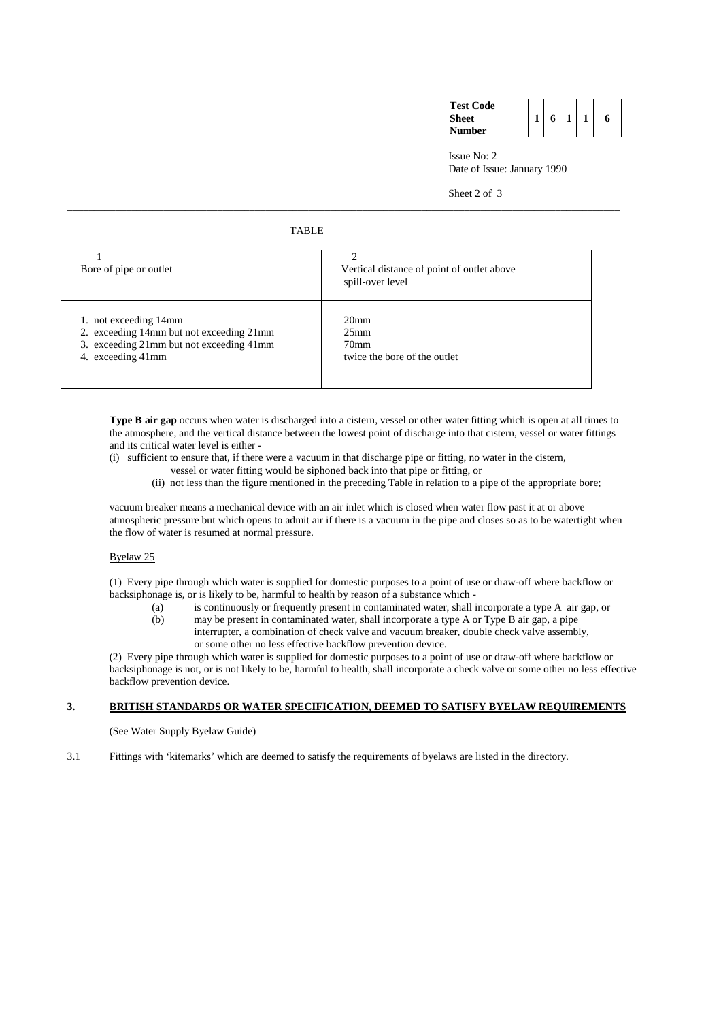| <b>Test Code</b> |   |  |  |
|------------------|---|--|--|
| <b>Sheet</b>     | 6 |  |  |
| Number           |   |  |  |

 Issue No: 2 Date of Issue: January 1990

Sheet 2 of 3

### TABLE

| Bore of pipe or outlet                                                                                                             | Vertical distance of point of outlet above<br>spill-over level                           |  |  |  |  |
|------------------------------------------------------------------------------------------------------------------------------------|------------------------------------------------------------------------------------------|--|--|--|--|
|                                                                                                                                    |                                                                                          |  |  |  |  |
| 1. not exceeding 14mm<br>2. exceeding 14mm but not exceeding 21mm<br>3. exceeding 21mm but not exceeding 41mm<br>4. exceeding 41mm | 20 <sub>mm</sub><br>25 <sub>mm</sub><br>70 <sub>mm</sub><br>twice the bore of the outlet |  |  |  |  |

\_\_\_\_\_\_\_\_\_\_\_\_\_\_\_\_\_\_\_\_\_\_\_\_\_\_\_\_\_\_\_\_\_\_\_\_\_\_\_\_\_\_\_\_\_\_\_\_\_\_\_\_\_\_\_\_\_\_\_\_\_\_\_\_\_\_\_\_\_\_\_\_\_\_\_\_\_\_\_\_\_\_\_\_\_\_\_\_\_\_\_\_\_\_\_\_\_\_\_\_\_\_\_

**Type B air gap** occurs when water is discharged into a cistern, vessel or other water fitting which is open at all times to the atmosphere, and the vertical distance between the lowest point of discharge into that cistern, vessel or water fittings and its critical water level is either -

- (i) sufficient to ensure that, if there were a vacuum in that discharge pipe or fitting, no water in the cistern,
	- vessel or water fitting would be siphoned back into that pipe or fitting, or
	- (ii) not less than the figure mentioned in the preceding Table in relation to a pipe of the appropriate bore;

 vacuum breaker means a mechanical device with an air inlet which is closed when water flow past it at or above atmospheric pressure but which opens to admit air if there is a vacuum in the pipe and closes so as to be watertight when the flow of water is resumed at normal pressure.

## Byelaw 25

 (1) Every pipe through which water is supplied for domestic purposes to a point of use or draw-off where backflow or backsiphonage is, or is likely to be, harmful to health by reason of a substance which -

- (a) is continuously or frequently present in contaminated water, shall incorporate a type A air gap, or (b) may be present in contaminated water, shall incorporate a type A or Type B air gap, a pipe
	- interrupter, a combination of check valve and vacuum breaker, double check valve assembly, or some other no less effective backflow prevention device.

 (2) Every pipe through which water is supplied for domestic purposes to a point of use or draw-off where backflow or backsiphonage is not, or is not likely to be, harmful to health, shall incorporate a check valve or some other no less effective backflow prevention device.

# **3. BRITISH STANDARDS OR WATER SPECIFICATION, DEEMED TO SATISFY BYELAW REQUIREMENTS**

(See Water Supply Byelaw Guide)

3.1 Fittings with 'kitemarks' which are deemed to satisfy the requirements of byelaws are listed in the directory.